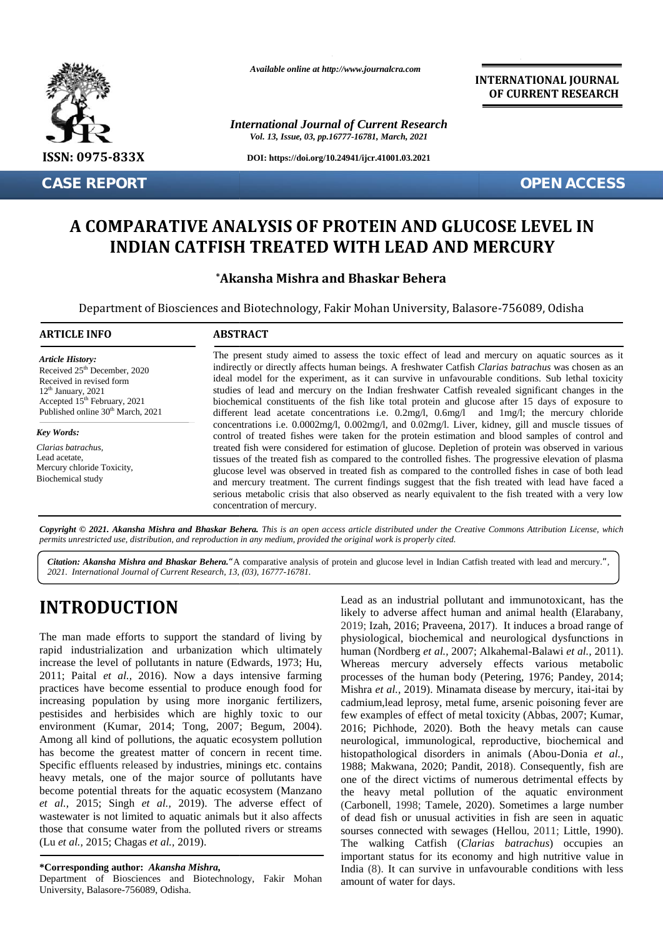

**CASE REPORT OPEN ACCESS**

*Available online at http://www.journalcra.com*

*International Journal of Current Research Vol. 13, Issue, 03, pp.16777-16781, March, 2021*

**DOI: https://doi.org/10.24941/ijcr.41001.03.2021**

**INTERNATIONAL JOURNAL OF CURRENT RESEARCH**

## **A COMPARATIVE ANALYSIS OF PROTEIN AND GLUCOSE LEVEL IN INDIAN CATFISH TREATED WITH LEAD AND MERCURY AND LEAD**

## **\*Akansha Mishra and Bhaskar Behera**

| <b>CASE REPORT</b>                                                                                                                                                                                                                                                                                                                                                                                                                                                                                                                                                                                                                                                                                                                                                                                                                                                                                                                                                                                                                                                         |                                    | <b>OPEN ACCESS</b>                                                                                                                                                                                                                                                                                                                                                                                                                                                                                                                                                                                                                                                                                                                                                                                                                                                                                                                                                                                                                                                                                                                                                                                                                                                                                                                                                 |
|----------------------------------------------------------------------------------------------------------------------------------------------------------------------------------------------------------------------------------------------------------------------------------------------------------------------------------------------------------------------------------------------------------------------------------------------------------------------------------------------------------------------------------------------------------------------------------------------------------------------------------------------------------------------------------------------------------------------------------------------------------------------------------------------------------------------------------------------------------------------------------------------------------------------------------------------------------------------------------------------------------------------------------------------------------------------------|------------------------------------|--------------------------------------------------------------------------------------------------------------------------------------------------------------------------------------------------------------------------------------------------------------------------------------------------------------------------------------------------------------------------------------------------------------------------------------------------------------------------------------------------------------------------------------------------------------------------------------------------------------------------------------------------------------------------------------------------------------------------------------------------------------------------------------------------------------------------------------------------------------------------------------------------------------------------------------------------------------------------------------------------------------------------------------------------------------------------------------------------------------------------------------------------------------------------------------------------------------------------------------------------------------------------------------------------------------------------------------------------------------------|
|                                                                                                                                                                                                                                                                                                                                                                                                                                                                                                                                                                                                                                                                                                                                                                                                                                                                                                                                                                                                                                                                            |                                    | A COMPARATIVE ANALYSIS OF PROTEIN AND GLUCOSE LEVEL IN<br><b>INDIAN CATFISH TREATED WITH LEAD AND MERCURY</b>                                                                                                                                                                                                                                                                                                                                                                                                                                                                                                                                                                                                                                                                                                                                                                                                                                                                                                                                                                                                                                                                                                                                                                                                                                                      |
|                                                                                                                                                                                                                                                                                                                                                                                                                                                                                                                                                                                                                                                                                                                                                                                                                                                                                                                                                                                                                                                                            | *Akansha Mishra and Bhaskar Behera |                                                                                                                                                                                                                                                                                                                                                                                                                                                                                                                                                                                                                                                                                                                                                                                                                                                                                                                                                                                                                                                                                                                                                                                                                                                                                                                                                                    |
|                                                                                                                                                                                                                                                                                                                                                                                                                                                                                                                                                                                                                                                                                                                                                                                                                                                                                                                                                                                                                                                                            |                                    | Department of Biosciences and Biotechnology, Fakir Mohan University, Balasore-756089, Odisha                                                                                                                                                                                                                                                                                                                                                                                                                                                                                                                                                                                                                                                                                                                                                                                                                                                                                                                                                                                                                                                                                                                                                                                                                                                                       |
| <b>ARTICLE INFO</b>                                                                                                                                                                                                                                                                                                                                                                                                                                                                                                                                                                                                                                                                                                                                                                                                                                                                                                                                                                                                                                                        | <b>ABSTRACT</b>                    |                                                                                                                                                                                                                                                                                                                                                                                                                                                                                                                                                                                                                                                                                                                                                                                                                                                                                                                                                                                                                                                                                                                                                                                                                                                                                                                                                                    |
| <b>Article History:</b><br>Received 25 <sup>th</sup> December, 2020<br>Received in revised form<br>$12^{th}$ January, 2021<br>Accepted 15 <sup>th</sup> February, 2021<br>Published online 30 <sup>th</sup> March, 2021<br><b>Key Words:</b><br>Clarias batrachus,<br>Lead acetate,<br>Mercury chloride Toxicity,<br><b>Biochemical</b> study                                                                                                                                                                                                                                                                                                                                                                                                                                                                                                                                                                                                                                                                                                                              | concentration of mercury.          | The present study aimed to assess the toxic effect of lead and mercury on aquatic sources as it<br>indirectly or directly affects human beings. A freshwater Catfish Clarias batrachus was chosen as an<br>ideal model for the experiment, as it can survive in unfavourable conditions. Sub lethal toxicity<br>studies of lead and mercury on the Indian freshwater Catfish revealed significant changes in the<br>biochemical constituents of the fish like total protein and glucose after 15 days of exposure to<br>different lead acetate concentrations i.e. 0.2mg/l, 0.6mg/l and 1mg/l; the mercury chloride<br>concentrations i.e. 0.0002mg/l, 0.002mg/l, and 0.02mg/l. Liver, kidney, gill and muscle tissues of<br>control of treated fishes were taken for the protein estimation and blood samples of control and<br>treated fish were considered for estimation of glucose. Depletion of protein was observed in various<br>tissues of the treated fish as compared to the controlled fishes. The progressive elevation of plasma<br>glucose level was observed in treated fish as compared to the controlled fishes in case of both lead<br>and mercury treatment. The current findings suggest that the fish treated with lead have faced a<br>serious metabolic crisis that also observed as nearly equivalent to the fish treated with a very low |
| 2021. International Journal of Current Research, 13, (03), 16777-16781.<br><b>INTRODUCTION</b>                                                                                                                                                                                                                                                                                                                                                                                                                                                                                                                                                                                                                                                                                                                                                                                                                                                                                                                                                                             |                                    | Citation: Akansha Mishra and Bhaskar Behera. "A comparative analysis of protein and glucose level in Indian Catfish treated with lead and mercury.",<br>Lead as an industrial pollutant and immunotoxicant, has the<br>likely to adverse affect human and animal health (Elarabany,                                                                                                                                                                                                                                                                                                                                                                                                                                                                                                                                                                                                                                                                                                                                                                                                                                                                                                                                                                                                                                                                                |
| The man made efforts to support the standard of living by<br>rapid industrialization and urbanization which ultimately<br>increase the level of pollutants in nature (Edwards, 1973; Hu,<br>2011; Paital et al., 2016). Now a days intensive farming<br>practices have become essential to produce enough food for<br>increasing population by using more inorganic fertilizers,<br>pestisides and herbisides which are highly toxic to our<br>environment (Kumar, 2014; Tong, 2007; Begum, 2004).<br>Among all kind of pollutions, the aquatic ecosystem pollution<br>has become the greatest matter of concern in recent time.<br>Specific effluents released by industries, minings etc. contains<br>heavy metals, one of the major source of pollutants have<br>become potential threats for the aquatic ecosystem (Manzano<br>et al., 2015; Singh et al., 2019). The adverse effect of<br>wastewater is not limited to aquatic animals but it also affects<br>those that consume water from the polluted rivers or streams<br>(Lu et al., 2015; Chagas et al., 2019). |                                    | 2019; Izah, 2016; Praveena, 2017). It induces a broad range of<br>physiological, biochemical and neurological dysfunctions in<br>human (Nordberg et al., 2007; Alkahemal-Balawi et al., 2011).<br>Whereas mercury adversely effects various metabolic<br>processes of the human body (Petering, 1976; Pandey, 2014;<br>Mishra et al., 2019). Minamata disease by mercury, itai-itai by<br>cadmium, lead leprosy, metal fume, arsenic poisoning fever are<br>few examples of effect of metal toxicity (Abbas, 2007; Kumar,<br>2016; Pichhode, 2020). Both the heavy metals can cause<br>neurological, immunological, reproductive, biochemical and<br>histopathological disorders in animals (Abou-Donia et al.,<br>1988; Makwana, 2020; Pandit, 2018). Consequently, fish are<br>one of the direct victims of numerous detrimental effects by<br>the heavy metal pollution of the aquatic environment<br>(Carbonell, 1998; Tamele, 2020). Sometimes a large number<br>of dead fish or unusual activities in fish are seen in aquatic<br>sourses connected with sewages (Hellou, 2011; Little, 1990).<br>The walking Catfish (Clarias batrachus) occupies an<br>important status for its economy and high nutritive value in                                                                                                                                        |
| *Corresponding author: Akansha Mishra,<br>Department of Biosciences and Biotechnology, Fakir Mohan<br>University, Balasore-756089, Odisha.                                                                                                                                                                                                                                                                                                                                                                                                                                                                                                                                                                                                                                                                                                                                                                                                                                                                                                                                 |                                    | India (8). It can survive in unfavourable conditions with less<br>amount of water for days.                                                                                                                                                                                                                                                                                                                                                                                                                                                                                                                                                                                                                                                                                                                                                                                                                                                                                                                                                                                                                                                                                                                                                                                                                                                                        |

# **INTRODUCTION INTRODUCTION**

#### **\*Corresponding author:** *Akansha Mishra,* **\*Corresponding**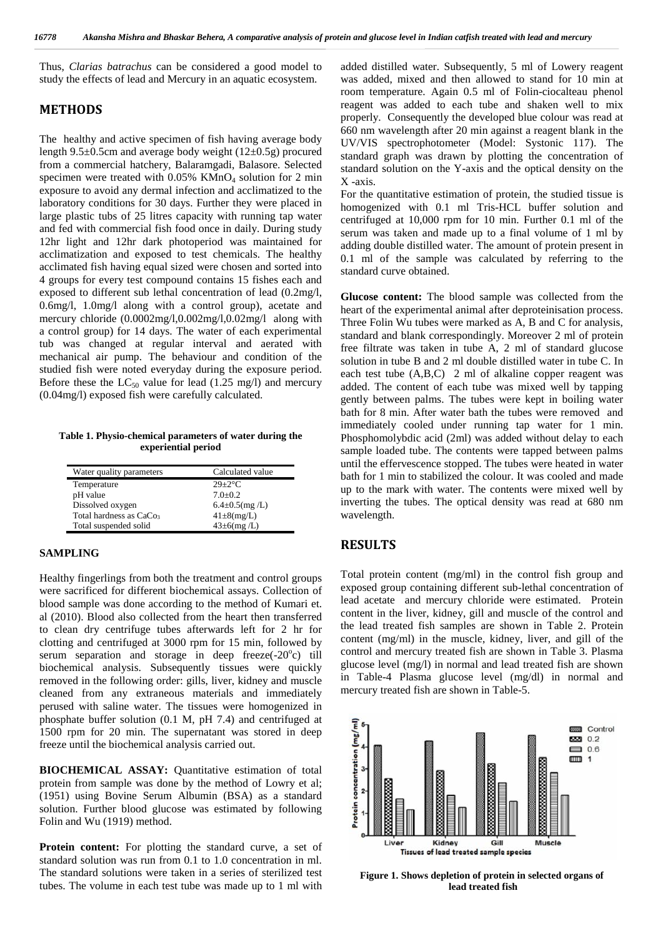Thus, *Clarias batrachus* can be considered a good model to study the effects of lead and Mercury in an aquatic ecosystem.

## **METHODS**

The healthy and active specimen of fish having average body length 9.5±0.5cm and average body weight (12±0.5g) procured from a commercial hatchery, Balaramgadi, Balasore. Selected specimen were treated with  $0.05\%$  KMnO<sub>4</sub> solution for 2 min exposure to avoid any dermal infection and acclimatized to the laboratory conditions for 30 days. Further they were placed in large plastic tubs of 25 litres capacity with running tap water and fed with commercial fish food once in daily. During study 12hr light and 12hr dark photoperiod was maintained for acclimatization and exposed to test chemicals. The healthy acclimated fish having equal sized were chosen and sorted into 4 groups for every test compound contains 15 fishes each and exposed to different sub lethal concentration of lead (0.2mg/l, 0.6mg/l, 1.0mg/l along with a control group), acetate and mercury chloride (0.0002mg/l,0.002mg/l,0.02mg/l along with a control group) for 14 days. The water of each experimental tub was changed at regular interval and aerated with mechanical air pump. The behaviour and condition of the studied fish were noted everyday during the exposure period. Before these the  $LC_{50}$  value for lead (1.25 mg/l) and mercury (0.04mg/l) exposed fish were carefully calculated.

**Table 1. Physio-chemical parameters of water during the experiential period**

| Water quality parameters            | Calculated value      |
|-------------------------------------|-----------------------|
| Temperature                         | $29+2$ °C             |
| pH value                            | $7.0 \pm 0.2$         |
| Dissolved oxygen                    | $6.4 \pm 0.5$ (mg /L) |
| Total hardness as CaCo <sub>3</sub> | $41\pm8(mg/L)$        |
| Total suspended solid               | $43\pm6$ (mg/L)       |

### **SAMPLING**

Healthy fingerlings from both the treatment and control groups were sacrificed for different biochemical assays. Collection of blood sample was done according to the method of Kumari et. al (2010). Blood also collected from the heart then transferred to clean dry centrifuge tubes afterwards left for 2 hr for clotting and centrifuged at 3000 rpm for 15 min, followed by serum separation and storage in deep freeze $(-20^{\circ}c)$  till biochemical analysis. Subsequently tissues were quickly removed in the following order: gills, liver, kidney and muscle cleaned from any extraneous materials and immediately perused with saline water. The tissues were homogenized in phosphate buffer solution (0.1 M, pH 7.4) and centrifuged at 1500 rpm for 20 min. The supernatant was stored in deep freeze until the biochemical analysis carried out.

**BIOCHEMICAL ASSAY:** Quantitative estimation of total protein from sample was done by the method of Lowry et al; BIOCHEMICAL ASSAY: Quantitative estimation of total<br>protein from sample was done by the method of Lowry et al;<br>(1951) using Bovine Serum Albumin (BSA) as a standard<br>solution. Further blood glucose was estimated by followin solution. Further blood glucose was estimated by following Folin and Wu (1919) method.

**Protein content:** For plotting the standard curve, a set of standard solution was run from 0.1 to 1.0 concentration in ml. The standard solutions were taken in a series of sterilized test tubes. The volume in each test tube was made up to 1 ml with added distilled water. Subsequently, 5 ml of Lowery reagent was added, mixed and then allowed to stand for 10 min at room temperature. Again 0.5 ml of Folin-ciocalteau phenol reagent was added to each tube and shaken well to mix properly. Consequently the developed blue colour was read at 660 nm wavelength after 20 min against a reagent blank in the UV/VIS spectrophotometer (Model: Systonic 117). The standard graph was drawn by plotting the concentration of standard solution on the Y-axis and the optical density on the X -axis.

For the quantitative estimation of protein, the studied tissue is homogenized with 0.1 ml Tris-HCL buffer solution and centrifuged at 10,000 rpm for 10 min. Further 0.1 ml of the serum was taken and made up to a final volume of 1 ml by adding double distilled water. The amount of protein present in 0.1 ml of the sample was calculated by referring to the standard curve obtained.

**Glucose content:** The blood sample was collected from the heart of the experimental animal after deproteinisation process. Three Folin Wu tubes were marked as A, B and C for analysis, standard and blank correspondingly. Moreover 2 ml of protein free filtrate was taken in tube A, 2 ml of standard glucose solution in tube B and 2 ml double distilled water in tube C. In each test tube (A,B,C) 2 ml of alkaline copper reagent was added. The content of each tube was mixed well by tapping gently between palms. The tubes were kept in boiling water bath for 8 min. After water bath the tubes were removed and immediately cooled under running tap water for 1 min. Phosphomolybdic acid (2ml) was added without delay to each sample loaded tube. The contents were tapped between palms until the effervescence stopped. The tubes were heated in water bath for 1 min to stabilized the colour. It was cooled and made up to the mark with water. The contents were mixed well by inverting the tubes. The optical density was read at 680 nm wavelength.

## **RESULTS**

Total protein content (mg/ml) in the control fish group and exposed group containing different sub-lethal concentration of lead acetate and mercury chloride were estimated. Protein content in the liver, kidney, gill and muscle of the control and the lead treated fish samples are shown in Table 2. Protein content (mg/ml) in the muscle, kidney, liver, and gill of the control and mercury treated fish are shown in Table 3. Plasma glucose level (mg/l) in normal and lead treated fish are shown in Table-4 Plasma glucose level (mg/dl) in normal and mercury treated fish are shown in Table-5.



**Figure 1. Shows depletion of protein in selected organs of lead treated fish**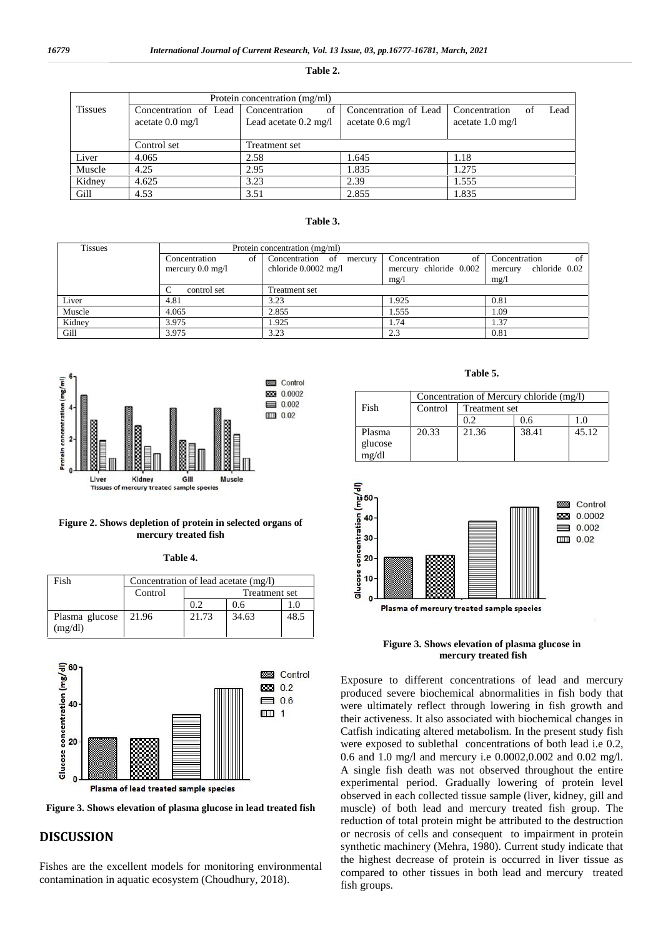#### **Table 2.**

|                |                            | Protein concentration (mg/ml)   |                            |                             |
|----------------|----------------------------|---------------------------------|----------------------------|-----------------------------|
| <b>Tissues</b> | Concentration of Lead      | of<br>Concentration             | Concentration of Lead      | Concentration<br>Lead<br>0t |
|                | acetate $0.0 \text{ mg}/1$ | Lead acetate $0.2 \text{ mg}/1$ | acetate $0.6 \text{ mg}/l$ | acetate $1.0 \text{ mg/l}$  |
|                |                            |                                 |                            |                             |
|                | Control set                | Treatment set                   |                            |                             |
| Liver          | 4.065                      | 2.58                            | 1.645                      | 1.18                        |
| Muscle         | 4.25                       | 2.95                            | 1.835                      | 1.275                       |
| Kidney         | 4.625                      | 3.23                            | 2.39                       | 1.555                       |
| Gill           | 4.53                       | 3.51                            | 2.855                      | 1.835                       |

| <b>Tissues</b> |                                                   | Protein concentration (mg/ml)                         |                                               |                                              |
|----------------|---------------------------------------------------|-------------------------------------------------------|-----------------------------------------------|----------------------------------------------|
|                | of<br>Concentration<br>mercury $0.0 \text{ mg}/1$ | Concentration of<br>mercury<br>chloride $0.0002$ mg/l | of<br>Concentration<br>mercury chloride 0.002 | of<br>Concentration<br>mercury chloride 0.02 |
|                |                                                   |                                                       | mg/l                                          | mg/1                                         |
|                | control set                                       | <b>Treatment</b> set                                  |                                               |                                              |
| Liver          | 4.81                                              | 3.23                                                  | 1.925                                         | 0.81                                         |
| Muscle         | 4.065                                             | 2.855                                                 | 1.555                                         | 1.09                                         |
| Kidney         | 3.975                                             | 1.925                                                 | 1.74                                          | 1.37                                         |
| Gill           | 3.975                                             | 3.23                                                  | 2.3                                           | 0.81                                         |



#### **Figure 2. Shows depletion of protein in selected organs of mercury treated fish**

**Table 4.**

| Fish                      |         | Concentration of lead acetate (mg/l) |       |      |
|---------------------------|---------|--------------------------------------|-------|------|
|                           | Control | <b>Treatment</b> set                 |       |      |
|                           |         | 02                                   | 0.6   |      |
| Plasma glucose<br>(mg/dl) | 21.96   | 21.73                                | 34.63 | 48.5 |



**Figure 3. Shows elevation of plasma glucose in lead treated fish**

## **DISCUSSION**

Fishes are the excellent models for monitoring environmental contamination in aquatic ecosystem (Choudhury, 2018).

**Table 5.**

|                   | Concentration of Mercury chloride (mg/l) |               |       |       |
|-------------------|------------------------------------------|---------------|-------|-------|
| Fish              | Control                                  | Treatment set |       |       |
|                   |                                          |               | 0.6   |       |
| Plasma<br>glucose | 20.33                                    | 21.36         | 38.41 | 45.12 |
| mg/dl             |                                          |               |       |       |



#### **Figure 3. Shows elevation of plasma glucose in mercury treated fish**

Exposure to different concentrations of lead and mercury produced severe biochemical abnormalities in fish body that were ultimately reflect through lowering in fish growth and their activeness. It also associated with biochemical changes in Catfish indicating altered metabolism. In the present study fish were exposed to sublethal concentrations of both lead i.e 0.2, 0.6 and 1.0 mg/l and mercury i.e 0.0002,0.002 and 0.02 mg/l. A single fish death was not observed throughout the entire experimental period. Gradually lowering of protein level observed in each collected tissue sample (liver, kidney, gill and muscle) of both lead and mercury treated fish group. The reduction of total protein might be attributed to the destruction or necrosis of cells and consequent to impairment in protein synthetic machinery (Mehra, 1980). Current study indicate that the highest decrease of protein is occurred in liver tissue as compared to other tissues in both lead and mercury treated fish groups.

## **Table 3.**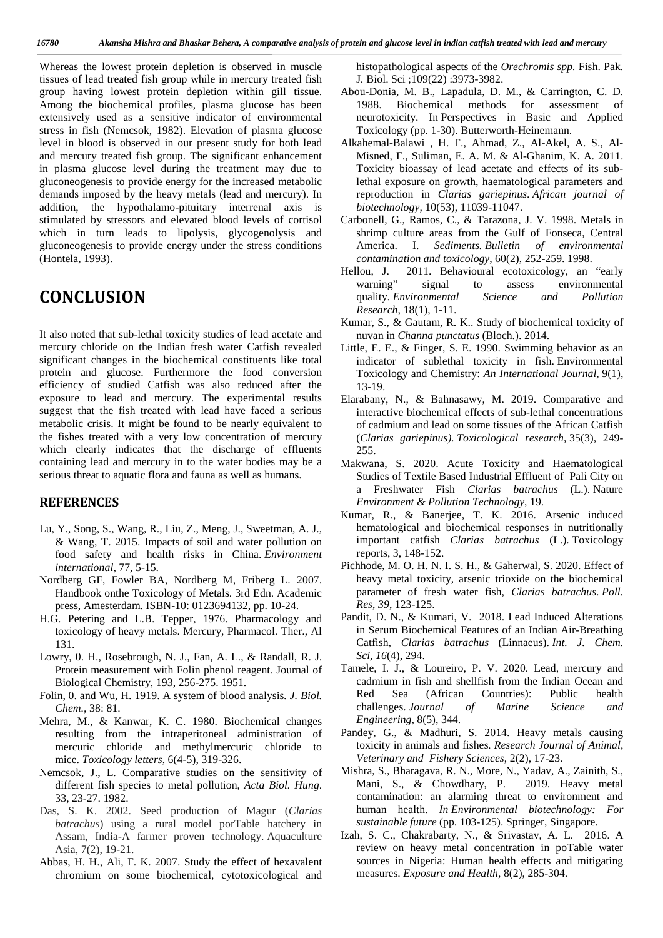Whereas the lowest protein depletion is observed in muscle tissues of lead treated fish group while in mercury treated fish group having lowest protein depletion within gill tissue. Among the biochemical profiles, plasma glucose has been 1988. extensively used as a sensitive indicator of environmental stress in fish (Nemcsok, 1982). Elevation of plasma glucose level in blood is observed in our present study for both lead and mercury treated fish group. The significant enhancement in plasma glucose level during the treatment may due to gluconeogenesis to provide energy for the increased metabolic demands imposed by the heavy metals (lead and mercury). In addition, the hypothalamo-pituitary interrenal axis is stimulated by stressors and elevated blood levels of cortisol which in turn leads to lipolysis, glycogenolysis and gluconeogenesis to provide energy under the stress conditions (Hontela, 1993).

## **CONCLUSION**

It also noted that sub-lethal toxicity studies of lead acetate and mercury chloride on the Indian fresh water Catfish revealed significant changes in the biochemical constituents like total protein and glucose. Furthermore the food conversion efficiency of studied Catfish was also reduced after the exposure to lead and mercury. The experimental results suggest that the fish treated with lead have faced a serious metabolic crisis. It might be found to be nearly equivalent to the fishes treated with a very low concentration of mercury which clearly indicates that the discharge of effluents containing lead and mercury in to the water bodies may be a serious threat to aquatic flora and fauna as well as humans.

### **REFERENCES**

- Lu, Y., Song, S., Wang, R., Liu, Z., Meng, J., Sweetman, A. J., & Wang, T. 2015. Impacts of soil and water pollution on food safety and health risks in China. *Environment international*, 77, 5-15.
- Nordberg GF, Fowler BA, Nordberg M, Friberg L. 2007. Handbook onthe Toxicology of Metals. 3rd Edn. Academic press, Amesterdam. ISBN-10: 0123694132, pp. 10-24.
- H.G. Petering and L.B. Tepper, 1976. Pharmacology and toxicology of heavy metals. Mercury, Pharmacol. Ther., Al 131.
- Lowry, 0. H., Rosebrough, N. J., Fan, A. L., & Randall, R. J. Protein measurement with Folin phenol reagent*.* Journal of Biological Chemistry*,* 193, 256-275. 1951.
- Folin, 0. and Wu, H. 1919. A system of blood analysis*. J. Biol. Chem.,* 38: 81.
- Mehra, M., & Kanwar, K. C. 1980. Biochemical changes resulting from the intraperitoneal administration of mercuric chloride and methylmercuric chloride to mice. *Toxicology letters*, 6(4-5), 319-326.
- Nemcsok, J., L. Comparative studies on the sensitivity of different fish species to metal pollution, *Acta Biol. Hung*. 33, 23-27. 1982.
- Das, S. K. 2002. Seed production of Magur (*Clarias batrachus*) using a rural model porTable hatchery in Assam, India-A farmer proven technology. Aquaculture Asia, 7(2), 19-21.
- Abbas, H. H., Ali, F. K. 2007. Study the effect of hexavalent chromium on some biochemical, cytotoxicological and

histopathological aspects of the *Orechromis spp.* Fish. Pak. J*.* Biol. Sci ;109(22) :3973-3982.

- Abou-Donia, M. B., Lapadula, D. M., & Carrington, C. D. Biochemical methods for assessment of neurotoxicity. In Perspectives in Basic and Applied Toxicology (pp. 1-30). Butterworth-Heinemann.
- Alkahemal-Balawi , H. F., Ahmad, Z., Al-Akel, A. S., Al- Misned, F., Suliman, E. A. M. & Al-Ghanim, K. A. 2011. Toxicity bioassay of lead acetate and effects of its sublethal exposure on growth, haematological parameters and reproduction in *Clarias gariepinus*. *African journal of biotechnology,* 10(53), 11039-11047.
- Carbonell, G., Ramos, C., & Tarazona, J. V. 1998. Metals in shrimp culture areas from the Gulf of Fonseca, Central America. I. *Sediments. Bulletin of environmental contamination and toxicology*, 60(2), 252-259. 1998.
- Hellou, J. 2011. Behavioural ecotoxicology, an "early warning" signal to assess environmental quality. *Environmental Science and Pollution Research,* 18(1), 1-11.
- Kumar, S., & Gautam, R. K.. Study of biochemical toxicity of nuvan in *Channa punctatus* (Bloch.). 2014.
- Little, E. E., & Finger, S. E. 1990. Swimming behavior as an indicator of sublethal toxicity in fish. Environmental Toxicology and Chemistry: *An International Journal*, 9(1), 13-19.
- Elarabany, N., & Bahnasawy, M. 2019. Comparative and interactive biochemical effects of sub-lethal concentrations of cadmium and lead on some tissues of the African Catfish (*Clarias gariepinus)*. *Toxicological research*, 35(3), 249- 255.
- Makwana, S. 2020. Acute Toxicity and Haematological Studies of Textile Based Industrial Effluent of Pali City on a Freshwater Fish *Clarias batrachus* (L.). Nature *Environment & Pollution Technology*, 19.
- Kumar, R., & Banerjee, T. K. 2016. Arsenic induced hematological and biochemical responses in nutritionally important catfish *Clarias batrachus* (L.). Toxicology reports, 3, 148-152.
- Pichhode, M. O. H. N. I. S. H., & Gaherwal, S. 2020. Effect of heavy metal toxicity, arsenic trioxide on the biochemical parameter of fresh water fish, *Clarias batrachus*. *Poll. Res*, *39*, 123-125.
- Pandit, D. N., & Kumari, V. 2018. Lead Induced Alterations in Serum Biochemical Features of an Indian Air-Breathing Catfish, *Clarias batrachus* (Linnaeus). *Int. J. Chem. Sci*, *16*(4), 294.
- Tamele, I. J., & Loureiro, P. V. 2020. Lead, mercury and cadmium in fish and shellfish from the Indian Ocean and Red Sea (African Countries): Public health challenges. *Journal of Marine Science and Engineering,* 8(5), 344.
- Pandey, G., & Madhuri, S. 2014. Heavy metals causing toxicity in animals and fishes*. Research Journal of Animal, Veterinary and Fishery Sciences*, 2(2), 17-23.
- Mishra, S., Bharagava, R. N., More, N., Yadav, A., Zainith, S., Mani, S., & Chowdhary, P. 2019. Heavy metal contamination: an alarming threat to environment and human health. *In Environmental biotechnology: For sustainable future* (pp. 103-125). Springer, Singapore.
- Izah, S. C., Chakrabarty, N., & Srivastav, A. L. 2016. A review on heavy metal concentration in poTable water sources in Nigeria: Human health effects and mitigating measures. *Exposure and Health*, 8(2), 285-304.